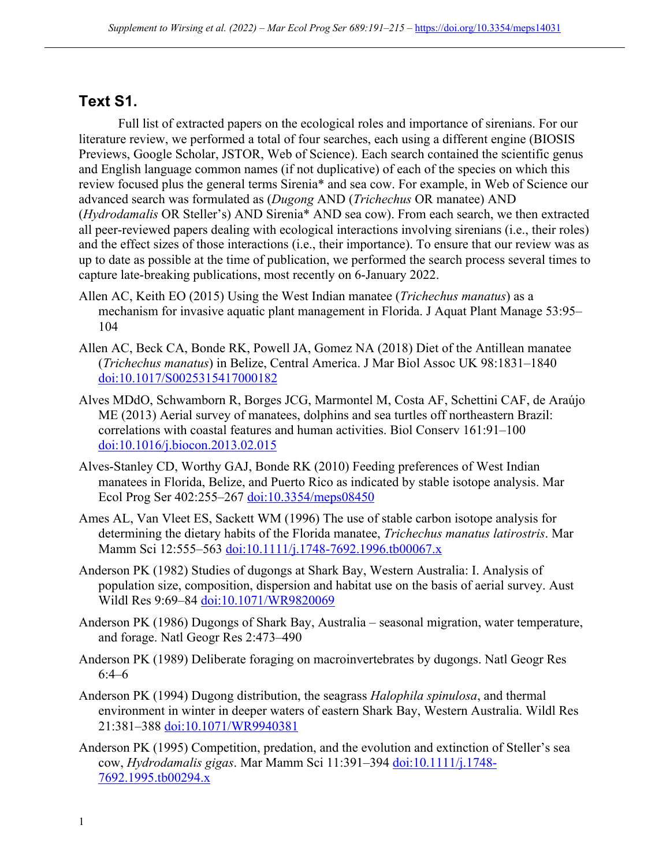## **Text S1.**

Full list of extracted papers on the ecological roles and importance of sirenians. For our literature review, we performed a total of four searches, each using a different engine (BIOSIS Previews, Google Scholar, JSTOR, Web of Science). Each search contained the scientific genus and English language common names (if not duplicative) of each of the species on which this review focused plus the general terms Sirenia\* and sea cow. For example, in Web of Science our advanced search was formulated as (*Dugong* AND (*Trichechus* OR manatee) AND (*Hydrodamalis* OR Steller's) AND Sirenia\* AND sea cow). From each search, we then extracted all peer-reviewed papers dealing with ecological interactions involving sirenians (i.e., their roles) and the effect sizes of those interactions (i.e., their importance). To ensure that our review was as up to date as possible at the time of publication, we performed the search process several times to capture late-breaking publications, most recently on 6-January 2022.

- Allen AC, Keith EO (2015) Using the West Indian manatee (*Trichechus manatus*) as a mechanism for invasive aquatic plant management in Florida. J Aquat Plant Manage 53:95– 104
- Allen AC, Beck CA, Bonde RK, Powell JA, Gomez NA (2018) Diet of the Antillean manatee (*Trichechus manatus*) in Belize, Central America. J Mar Biol Assoc UK 98:1831–1840 doi:10.1017/S0025315417000182
- Alves MDdO, Schwamborn R, Borges JCG, Marmontel M, Costa AF, Schettini CAF, de Araújo ME (2013) Aerial survey of manatees, dolphins and sea turtles off northeastern Brazil: correlations with coastal features and human activities. Biol Conserv 161:91–100 doi:10.1016/j.biocon.2013.02.015
- Alves-Stanley CD, Worthy GAJ, Bonde RK (2010) Feeding preferences of West Indian manatees in Florida, Belize, and Puerto Rico as indicated by stable isotope analysis. Mar Ecol Prog Ser 402:255–267 doi:10.3354/meps08450
- Ames AL, Van Vleet ES, Sackett WM (1996) The use of stable carbon isotope analysis for determining the dietary habits of the Florida manatee, *Trichechus manatus latirostris*. Mar Mamm Sci 12:555–563 doi:10.1111/j.1748-7692.1996.tb00067.x
- Anderson PK (1982) Studies of dugongs at Shark Bay, Western Australia: I. Analysis of population size, composition, dispersion and habitat use on the basis of aerial survey. Aust Wildl Res 9:69–84 doi:10.1071/WR9820069
- Anderson PK (1986) Dugongs of Shark Bay, Australia seasonal migration, water temperature, and forage. Natl Geogr Res 2:473–490
- Anderson PK (1989) Deliberate foraging on macroinvertebrates by dugongs. Natl Geogr Res 6:4–6
- Anderson PK (1994) Dugong distribution, the seagrass *Halophila spinulosa*, and thermal environment in winter in deeper waters of eastern Shark Bay, Western Australia. Wildl Res 21:381–388 doi:10.1071/WR9940381
- Anderson PK (1995) Competition, predation, and the evolution and extinction of Steller's sea cow, *Hydrodamalis gigas*. Mar Mamm Sci 11:391–394 doi:10.1111/j.1748- 7692.1995.tb00294.x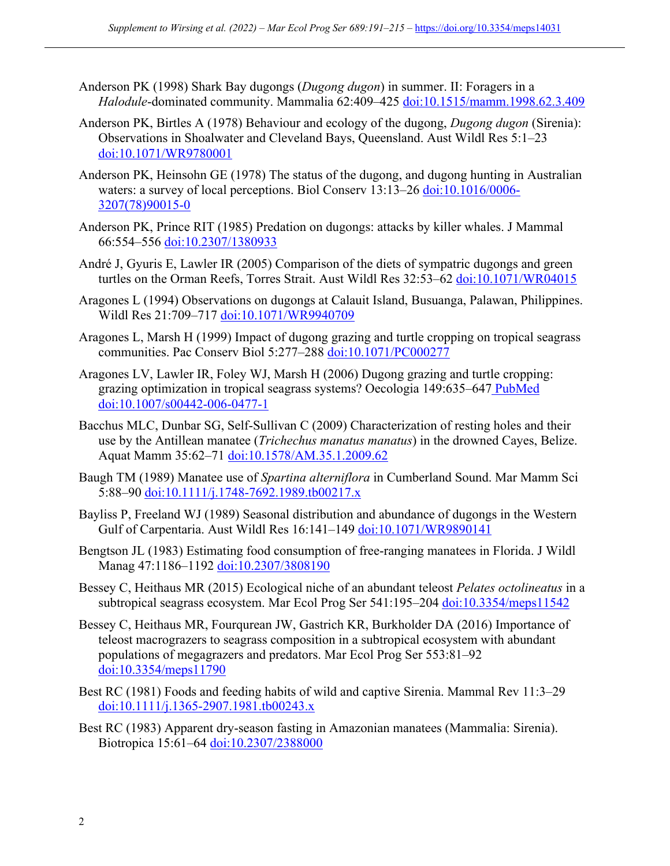- Anderson PK (1998) Shark Bay dugongs (*Dugong dugon*) in summer. II: Foragers in a *Halodule*-dominated community. Mammalia 62:409–425 doi:10.1515/mamm.1998.62.3.409
- Anderson PK, Birtles A (1978) Behaviour and ecology of the dugong, *Dugong dugon* (Sirenia): Observations in Shoalwater and Cleveland Bays, Queensland. Aust Wildl Res 5:1–23 doi:10.1071/WR9780001
- Anderson PK, Heinsohn GE (1978) The status of the dugong, and dugong hunting in Australian waters: a survey of local perceptions. Biol Conserv 13:13–26 doi:10.1016/0006-3207(78)90015-0
- Anderson PK, Prince RIT (1985) Predation on dugongs: attacks by killer whales. J Mammal 66:554–556 doi:10.2307/1380933
- André J, Gyuris E, Lawler IR (2005) Comparison of the diets of sympatric dugongs and green turtles on the Orman Reefs, Torres Strait. Aust Wildl Res 32:53–62 doi:10.1071/WR04015
- Aragones L (1994) Observations on dugongs at Calauit Island, Busuanga, Palawan, Philippines. Wildl Res 21:709–717 doi:10.1071/WR9940709
- Aragones L, Marsh H (1999) Impact of dugong grazing and turtle cropping on tropical seagrass communities. Pac Conserv Biol 5:277–288 doi:10.1071/PC000277
- Aragones LV, Lawler IR, Foley WJ, Marsh H (2006) Dugong grazing and turtle cropping: grazing optimization in tropical seagrass systems? Oecologia 149:635–647 PubMed doi:10.1007/s00442-006-0477-1
- Bacchus MLC, Dunbar SG, Self-Sullivan C (2009) Characterization of resting holes and their use by the Antillean manatee (*Trichechus manatus manatus*) in the drowned Cayes, Belize. Aquat Mamm 35:62-71 doi:10.1578/AM.35.1.2009.62
- Baugh TM (1989) Manatee use of *Spartina alterniflora* in Cumberland Sound. Mar Mamm Sci 5:88–90 doi:10.1111/j.1748-7692.1989.tb00217.x
- Bayliss P, Freeland WJ (1989) Seasonal distribution and abundance of dugongs in the Western Gulf of Carpentaria. Aust Wildl Res 16:141–149 doi:10.1071/WR9890141
- Bengtson JL (1983) Estimating food consumption of free-ranging manatees in Florida. J Wildl Manag 47:1186-1192 doi:10.2307/3808190
- Bessey C, Heithaus MR (2015) Ecological niche of an abundant teleost *Pelates octolineatus* in a subtropical seagrass ecosystem. Mar Ecol Prog Ser 541:195–204 doi:10.3354/meps11542
- Bessey C, Heithaus MR, Fourqurean JW, Gastrich KR, Burkholder DA (2016) Importance of teleost macrograzers to seagrass composition in a subtropical ecosystem with abundant populations of megagrazers and predators. Mar Ecol Prog Ser 553:81–92 doi:10.3354/meps11790
- Best RC (1981) Foods and feeding habits of wild and captive Sirenia. Mammal Rev 11:3–29 doi:10.1111/j.1365-2907.1981.tb00243.x
- Best RC (1983) Apparent dry-season fasting in Amazonian manatees (Mammalia: Sirenia). Biotropica 15:61–64 doi:10.2307/2388000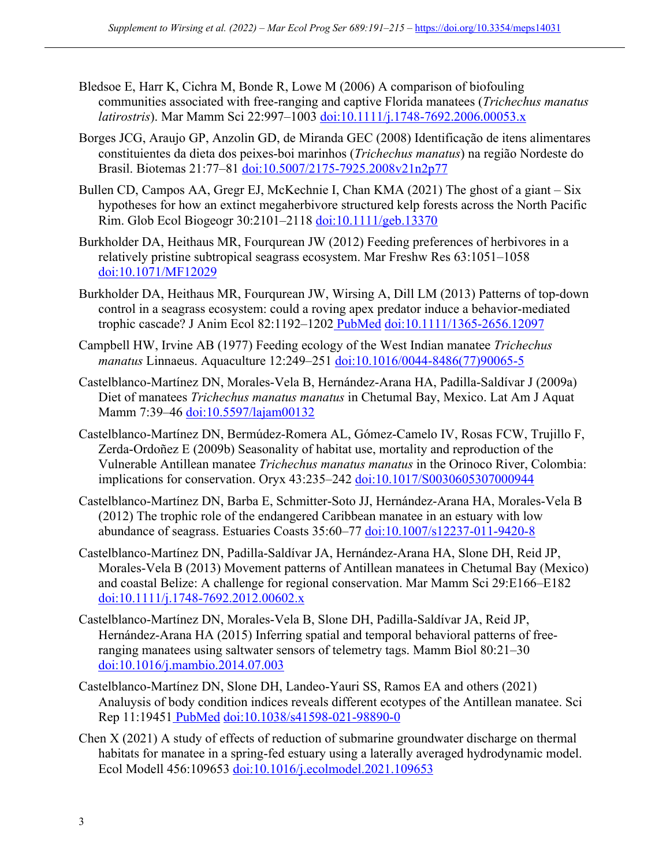- Bledsoe E, Harr K, Cichra M, Bonde R, Lowe M (2006) A comparison of biofouling communities associated with free-ranging and captive Florida manatees (*Trichechus manatus latirostris*). Mar Mamm Sci 22:997–1003 doi:10.1111/j.1748-7692.2006.00053.x
- Borges JCG, Araujo GP, Anzolin GD, de Miranda GEC (2008) Identificação de itens alimentares constituientes da dieta dos peixes-boi marinhos (*Trichechus manatus*) na região Nordeste do Brasil. Biotemas 21:77–81 doi:10.5007/2175-7925.2008v21n2p77
- Bullen CD, Campos AA, Gregr EJ, McKechnie I, Chan KMA (2021) The ghost of a giant Six hypotheses for how an extinct megaherbivore structured kelp forests across the North Pacific Rim. Glob Ecol Biogeogr 30:2101–2118 doi:10.1111/geb.13370
- Burkholder DA, Heithaus MR, Fourqurean JW (2012) Feeding preferences of herbivores in a relatively pristine subtropical seagrass ecosystem. Mar Freshw Res 63:1051–1058 doi:10.1071/MF12029
- Burkholder DA, Heithaus MR, Fourqurean JW, Wirsing A, Dill LM (2013) Patterns of top-down control in a seagrass ecosystem: could a roving apex predator induce a behavior-mediated trophic cascade? J Anim Ecol 82:1192-1202 PubMed doi:10.1111/1365-2656.12097
- Campbell HW, Irvine AB (1977) Feeding ecology of the West Indian manatee *Trichechus manatus* Linnaeus. Aquaculture 12:249–251 doi:10.1016/0044-8486(77)90065-5
- Castelblanco-Martínez DN, Morales-Vela B, Hernández-Arana HA, Padilla-Saldívar J (2009a) Diet of manatees *Trichechus manatus manatus* in Chetumal Bay, Mexico. Lat Am J Aquat Mamm 7:39-46 doi:10.5597/lajam00132
- Castelblanco-Martínez DN, Bermúdez-Romera AL, Gómez-Camelo IV, Rosas FCW, Trujillo F, Zerda-Ordoñez E (2009b) Seasonality of habitat use, mortality and reproduction of the Vulnerable Antillean manatee *Trichechus manatus manatus* in the Orinoco River, Colombia: implications for conservation. Oryx 43:235-242 doi:10.1017/S0030605307000944
- Castelblanco-Martínez DN, Barba E, Schmitter-Soto JJ, Hernández-Arana HA, Morales-Vela B (2012) The trophic role of the endangered Caribbean manatee in an estuary with low abundance of seagrass. Estuaries Coasts 35:60–77 doi:10.1007/s12237-011-9420-8
- Castelblanco-Martínez DN, Padilla-Saldívar JA, Hernández-Arana HA, Slone DH, Reid JP, Morales-Vela B (2013) Movement patterns of Antillean manatees in Chetumal Bay (Mexico) and coastal Belize: A challenge for regional conservation. Mar Mamm Sci 29:E166–E182 doi:10.1111/j.1748-7692.2012.00602.x
- Castelblanco-Martínez DN, Morales-Vela B, Slone DH, Padilla-Saldívar JA, Reid JP, Hernández-Arana HA (2015) Inferring spatial and temporal behavioral patterns of freeranging manatees using saltwater sensors of telemetry tags. Mamm Biol 80:21–30 doi:10.1016/j.mambio.2014.07.003
- Castelblanco-Martínez DN, Slone DH, Landeo-Yauri SS, Ramos EA and others (2021) Analuysis of body condition indices reveals different ecotypes of the Antillean manatee. Sci Rep 11:19451 PubMed doi:10.1038/s41598-021-98890-0
- Chen X (2021) A study of effects of reduction of submarine groundwater discharge on thermal habitats for manatee in a spring-fed estuary using a laterally averaged hydrodynamic model. Ecol Modell 456:109653 doi:10.1016/j.ecolmodel.2021.109653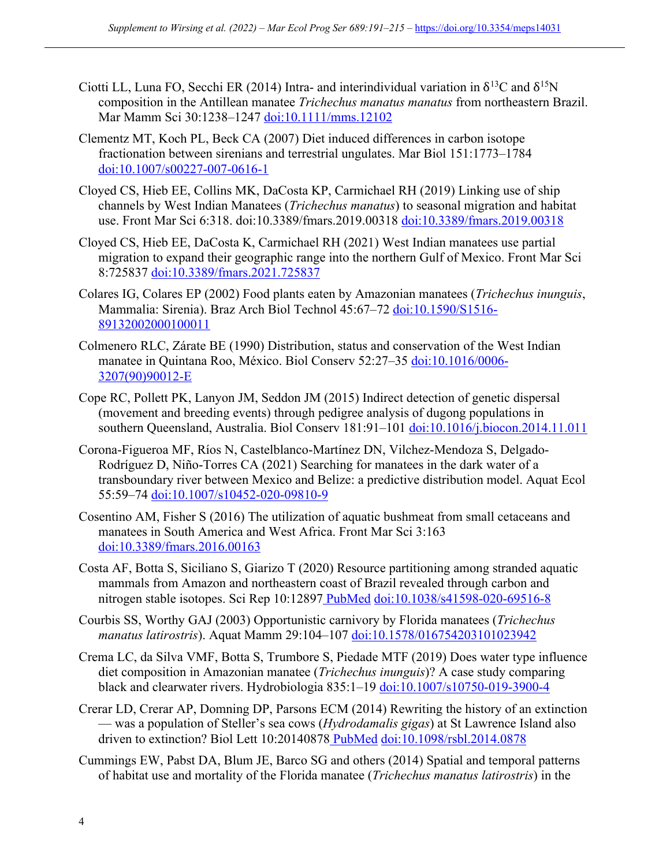- Ciotti LL, Luna FO, Secchi ER (2014) Intra- and interindividual variation in  $\delta^{13}C$  and  $\delta^{15}N$ composition in the Antillean manatee *Trichechus manatus manatus* from northeastern Brazil. Mar Mamm Sci 30:1238–1247 doi:10.1111/mms.12102
- Clementz MT, Koch PL, Beck CA (2007) Diet induced differences in carbon isotope fractionation between sirenians and terrestrial ungulates. Mar Biol 151:1773–1784 doi:10.1007/s00227-007-0616-1
- Cloyed CS, Hieb EE, Collins MK, DaCosta KP, Carmichael RH (2019) Linking use of ship channels by West Indian Manatees (*Trichechus manatus*) to seasonal migration and habitat use. Front Mar Sci 6:318. doi:10.3389/fmars.2019.00318 doi:10.3389/fmars.2019.00318
- Cloyed CS, Hieb EE, DaCosta K, Carmichael RH (2021) West Indian manatees use partial migration to expand their geographic range into the northern Gulf of Mexico. Front Mar Sci 8:725837 doi:10.3389/fmars.2021.725837
- Colares IG, Colares EP (2002) Food plants eaten by Amazonian manatees (*Trichechus inunguis*, Mammalia: Sirenia). Braz Arch Biol Technol 45:67–72 doi:10.1590/S1516- 89132002000100011
- Colmenero RLC, Zárate BE (1990) Distribution, status and conservation of the West Indian manatee in Quintana Roo, México. Biol Conserv 52:27–35 doi:10.1016/0006- 3207(90)90012-E
- Cope RC, Pollett PK, Lanyon JM, Seddon JM (2015) Indirect detection of genetic dispersal (movement and breeding events) through pedigree analysis of dugong populations in southern Queensland, Australia. Biol Conserv 181:91–101 doi:10.1016/j.biocon.2014.11.011
- Corona-Figueroa MF, Ríos N, Castelblanco-Martínez DN, Vilchez-Mendoza S, Delgado-Rodríguez D, Niño-Torres CA (2021) Searching for manatees in the dark water of a transboundary river between Mexico and Belize: a predictive distribution model. Aquat Ecol 55:59–74 doi:10.1007/s10452-020-09810-9
- Cosentino AM, Fisher S (2016) The utilization of aquatic bushmeat from small cetaceans and manatees in South America and West Africa. Front Mar Sci 3:163 doi:10.3389/fmars.2016.00163
- Costa AF, Botta S, Siciliano S, Giarizo T (2020) Resource partitioning among stranded aquatic mammals from Amazon and northeastern coast of Brazil revealed through carbon and nitrogen stable isotopes. Sci Rep 10:12897 PubMed doi:10.1038/s41598-020-69516-8
- Courbis SS, Worthy GAJ (2003) Opportunistic carnivory by Florida manatees (*Trichechus manatus latirostris*). Aquat Mamm 29:104–107 doi:10.1578/016754203101023942
- Crema LC, da Silva VMF, Botta S, Trumbore S, Piedade MTF (2019) Does water type influence diet composition in Amazonian manatee (*Trichechus inunguis*)? A case study comparing black and clearwater rivers. Hydrobiologia 835:1–19 doi:10.1007/s10750-019-3900-4
- Crerar LD, Crerar AP, Domning DP, Parsons ECM (2014) Rewriting the history of an extinction — was a population of Steller's sea cows (*Hydrodamalis gigas*) at St Lawrence Island also driven to extinction? Biol Lett 10:20140878 PubMed doi:10.1098/rsbl.2014.0878
- Cummings EW, Pabst DA, Blum JE, Barco SG and others (2014) Spatial and temporal patterns of habitat use and mortality of the Florida manatee (*Trichechus manatus latirostris*) in the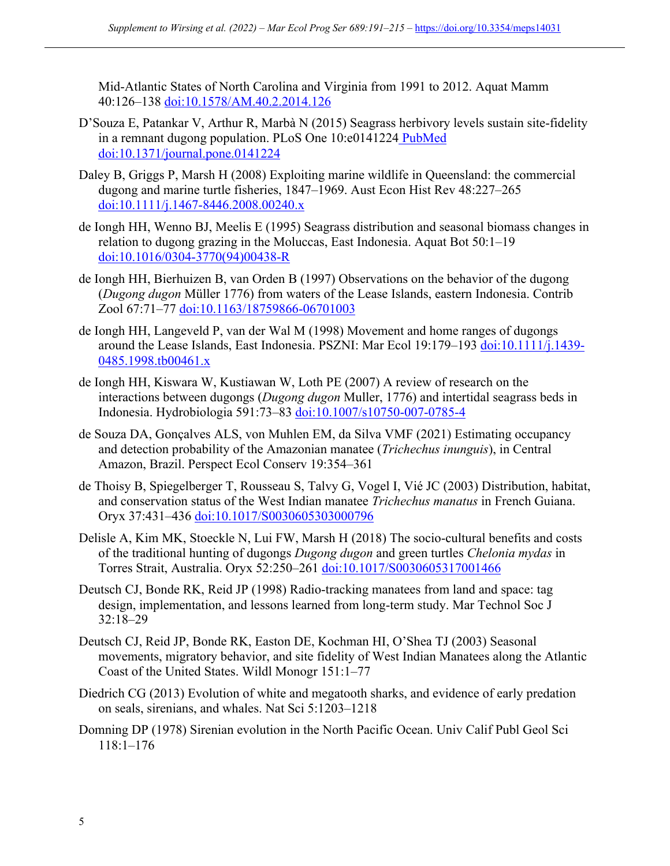Mid-Atlantic States of North Carolina and Virginia from 1991 to 2012. Aquat Mamm 40:126–138 doi:10.1578/AM.40.2.2014.126

- D'Souza E, Patankar V, Arthur R, Marbà N (2015) Seagrass herbivory levels sustain site-fidelity in a remnant dugong population. PLoS One 10:e0141224 PubMed doi:10.1371/journal.pone.0141224
- Daley B, Griggs P, Marsh H (2008) Exploiting marine wildlife in Queensland: the commercial dugong and marine turtle fisheries, 1847–1969. Aust Econ Hist Rev 48:227–265 doi:10.1111/j.1467-8446.2008.00240.x
- de Iongh HH, Wenno BJ, Meelis E (1995) Seagrass distribution and seasonal biomass changes in relation to dugong grazing in the Moluccas, East Indonesia. Aquat Bot 50:1–19 doi:10.1016/0304-3770(94)00438-R
- de Iongh HH, Bierhuizen B, van Orden B (1997) Observations on the behavior of the dugong (*Dugong dugon* Müller 1776) from waters of the Lease Islands, eastern Indonesia. Contrib Zool 67:71–77 doi:10.1163/18759866-06701003
- de Iongh HH, Langeveld P, van der Wal M (1998) Movement and home ranges of dugongs around the Lease Islands, East Indonesia. PSZNI: Mar Ecol 19:179–193 doi:10.1111/j.1439- 0485.1998.tb00461.x
- de Iongh HH, Kiswara W, Kustiawan W, Loth PE (2007) A review of research on the interactions between dugongs (*Dugong dugon* Muller, 1776) and intertidal seagrass beds in Indonesia. Hydrobiologia 591:73–83 doi:10.1007/s10750-007-0785-4
- de Souza DA, Gonçalves ALS, von Muhlen EM, da Silva VMF (2021) Estimating occupancy and detection probability of the Amazonian manatee (*Trichechus inunguis*), in Central Amazon, Brazil. Perspect Ecol Conserv 19:354–361
- de Thoisy B, Spiegelberger T, Rousseau S, Talvy G, Vogel I, Vié JC (2003) Distribution, habitat, and conservation status of the West Indian manatee *Trichechus manatus* in French Guiana. Oryx 37:431–436 doi:10.1017/S0030605303000796
- Delisle A, Kim MK, Stoeckle N, Lui FW, Marsh H (2018) The socio-cultural benefits and costs of the traditional hunting of dugongs *Dugong dugon* and green turtles *Chelonia mydas* in Torres Strait, Australia. Oryx 52:250–261 doi:10.1017/S0030605317001466
- Deutsch CJ, Bonde RK, Reid JP (1998) Radio-tracking manatees from land and space: tag design, implementation, and lessons learned from long-term study. Mar Technol Soc J 32:18–29
- Deutsch CJ, Reid JP, Bonde RK, Easton DE, Kochman HI, O'Shea TJ (2003) Seasonal movements, migratory behavior, and site fidelity of West Indian Manatees along the Atlantic Coast of the United States. Wildl Monogr 151:1–77
- Diedrich CG (2013) Evolution of white and megatooth sharks, and evidence of early predation on seals, sirenians, and whales. Nat Sci 5:1203–1218
- Domning DP (1978) Sirenian evolution in the North Pacific Ocean. Univ Calif Publ Geol Sci 118:1–176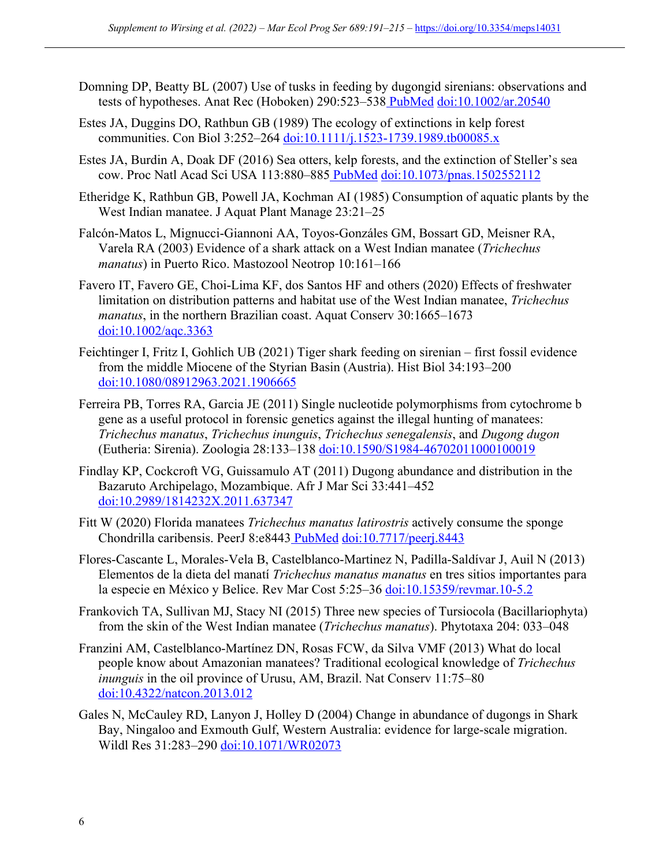- Domning DP, Beatty BL (2007) Use of tusks in feeding by dugongid sirenians: observations and tests of hypotheses. Anat Rec (Hoboken) 290:523–538 PubMed doi:10.1002/ar.20540
- Estes JA, Duggins DO, Rathbun GB (1989) The ecology of extinctions in kelp forest communities. Con Biol 3:252-264 doi:10.1111/j.1523-1739.1989.tb00085.x
- Estes JA, Burdin A, Doak DF (2016) Sea otters, kelp forests, and the extinction of Steller's sea cow. Proc Natl Acad Sci USA 113:880–885 PubMed doi:10.1073/pnas.1502552112
- Etheridge K, Rathbun GB, Powell JA, Kochman AI (1985) Consumption of aquatic plants by the West Indian manatee. J Aquat Plant Manage 23:21–25
- Falcón-Matos L, Mignucci-Giannoni AA, Toyos-Gonzáles GM, Bossart GD, Meisner RA, Varela RA (2003) Evidence of a shark attack on a West Indian manatee (*Trichechus manatus*) in Puerto Rico. Mastozool Neotrop 10:161–166
- Favero IT, Favero GE, Choi-Lima KF, dos Santos HF and others (2020) Effects of freshwater limitation on distribution patterns and habitat use of the West Indian manatee, *Trichechus manatus*, in the northern Brazilian coast. Aquat Conserv 30:1665–1673 doi:10.1002/aqc.3363
- Feichtinger I, Fritz I, Gohlich UB (2021) Tiger shark feeding on sirenian first fossil evidence from the middle Miocene of the Styrian Basin (Austria). Hist Biol 34:193–200 doi:10.1080/08912963.2021.1906665
- Ferreira PB, Torres RA, Garcia JE (2011) Single nucleotide polymorphisms from cytochrome b gene as a useful protocol in forensic genetics against the illegal hunting of manatees: *Trichechus manatus*, *Trichechus inunguis*, *Trichechus senegalensis*, and *Dugong dugon* (Eutheria: Sirenia). Zoologia 28:133–138 doi:10.1590/S1984-46702011000100019
- Findlay KP, Cockcroft VG, Guissamulo AT (2011) Dugong abundance and distribution in the Bazaruto Archipelago, Mozambique. Afr J Mar Sci 33:441–452 doi:10.2989/1814232X.2011.637347
- Fitt W (2020) Florida manatees *Trichechus manatus latirostris* actively consume the sponge Chondrilla caribensis. PeerJ 8:e8443 PubMed doi:10.7717/peerj.8443
- Flores-Cascante L, Morales-Vela B, Castelblanco-Martinez N, Padilla-Saldívar J, Auil N (2013) Elementos de la dieta del manatí *Trichechus manatus manatus* en tres sitios importantes para la especie en México y Belice. Rev Mar Cost 5:25-36 doi:10.15359/revmar.10-5.2
- Frankovich TA, Sullivan MJ, Stacy NI (2015) Three new species of Tursiocola (Bacillariophyta) from the skin of the West Indian manatee (*Trichechus manatus*). Phytotaxa 204: 033–048
- Franzini AM, Castelblanco-Martínez DN, Rosas FCW, da Silva VMF (2013) What do local people know about Amazonian manatees? Traditional ecological knowledge of *Trichechus inunguis* in the oil province of Urusu, AM, Brazil. Nat Conserv 11:75–80 doi:10.4322/natcon.2013.012
- Gales N, McCauley RD, Lanyon J, Holley D (2004) Change in abundance of dugongs in Shark Bay, Ningaloo and Exmouth Gulf, Western Australia: evidence for large-scale migration. Wildl Res 31:283-290 doi:10.1071/WR02073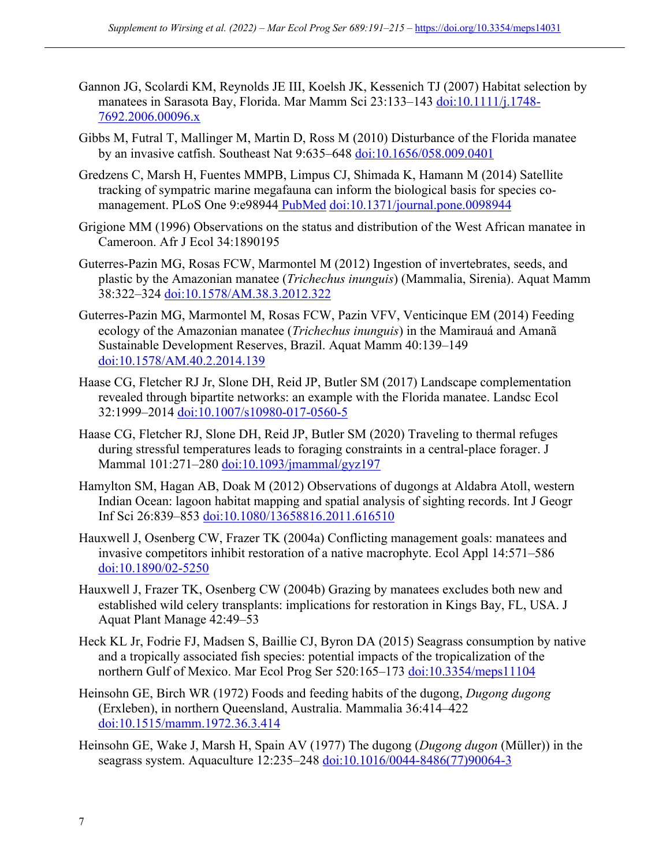- Gannon JG, Scolardi KM, Reynolds JE III, Koelsh JK, Kessenich TJ (2007) Habitat selection by manatees in Sarasota Bay, Florida. Mar Mamm Sci 23:133-143 doi:10.1111/j.1748-7692.2006.00096.x
- Gibbs M, Futral T, Mallinger M, Martin D, Ross M (2010) Disturbance of the Florida manatee by an invasive catfish. Southeast Nat 9:635–648 doi:10.1656/058.009.0401
- Gredzens C, Marsh H, Fuentes MMPB, Limpus CJ, Shimada K, Hamann M (2014) Satellite tracking of sympatric marine megafauna can inform the biological basis for species comanagement. PLoS One 9:e98944 PubMed doi:10.1371/journal.pone.0098944
- Grigione MM (1996) Observations on the status and distribution of the West African manatee in Cameroon. Afr J Ecol 34:1890195
- Guterres-Pazin MG, Rosas FCW, Marmontel M (2012) Ingestion of invertebrates, seeds, and plastic by the Amazonian manatee (*Trichechus inunguis*) (Mammalia, Sirenia). Aquat Mamm 38:322–324 doi:10.1578/AM.38.3.2012.322
- Guterres-Pazin MG, Marmontel M, Rosas FCW, Pazin VFV, Venticinque EM (2014) Feeding ecology of the Amazonian manatee (*Trichechus inunguis*) in the Mamirauá and Amanã Sustainable Development Reserves, Brazil. Aquat Mamm 40:139–149 doi:10.1578/AM.40.2.2014.139
- Haase CG, Fletcher RJ Jr, Slone DH, Reid JP, Butler SM (2017) Landscape complementation revealed through bipartite networks: an example with the Florida manatee. Landsc Ecol 32:1999–2014 doi:10.1007/s10980-017-0560-5
- Haase CG, Fletcher RJ, Slone DH, Reid JP, Butler SM (2020) Traveling to thermal refuges during stressful temperatures leads to foraging constraints in a central-place forager. J Mammal 101:271–280 doi:10.1093/jmammal/gyz197
- Hamylton SM, Hagan AB, Doak M (2012) Observations of dugongs at Aldabra Atoll, western Indian Ocean: lagoon habitat mapping and spatial analysis of sighting records. Int J Geogr Inf Sci 26:839–853 doi:10.1080/13658816.2011.616510
- Hauxwell J, Osenberg CW, Frazer TK (2004a) Conflicting management goals: manatees and invasive competitors inhibit restoration of a native macrophyte. Ecol Appl 14:571–586 doi:10.1890/02-5250
- Hauxwell J, Frazer TK, Osenberg CW (2004b) Grazing by manatees excludes both new and established wild celery transplants: implications for restoration in Kings Bay, FL, USA. J Aquat Plant Manage 42:49–53
- Heck KL Jr, Fodrie FJ, Madsen S, Baillie CJ, Byron DA (2015) Seagrass consumption by native and a tropically associated fish species: potential impacts of the tropicalization of the northern Gulf of Mexico. Mar Ecol Prog Ser 520:165-173 doi:10.3354/meps11104
- Heinsohn GE, Birch WR (1972) Foods and feeding habits of the dugong, *Dugong dugong* (Erxleben), in northern Queensland, Australia. Mammalia 36:414–422 doi:10.1515/mamm.1972.36.3.414
- Heinsohn GE, Wake J, Marsh H, Spain AV (1977) The dugong (*Dugong dugon* (Müller)) in the seagrass system. Aquaculture 12:235-248 doi:10.1016/0044-8486(77)90064-3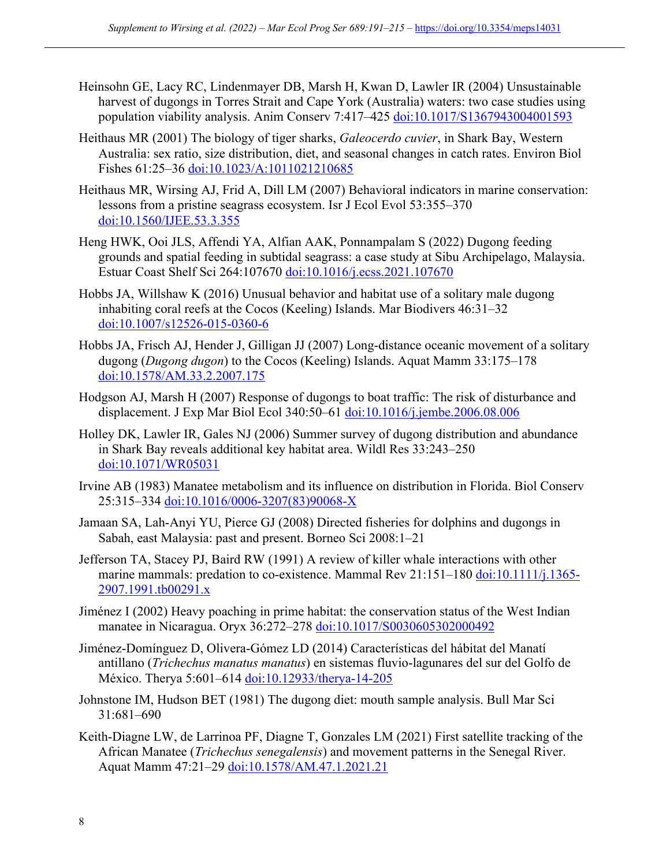- Heinsohn GE, Lacy RC, Lindenmayer DB, Marsh H, Kwan D, Lawler IR (2004) Unsustainable harvest of dugongs in Torres Strait and Cape York (Australia) waters: two case studies using population viability analysis. Anim Conserv 7:417–425 doi:10.1017/S1367943004001593
- Heithaus MR (2001) The biology of tiger sharks, *Galeocerdo cuvier*, in Shark Bay, Western Australia: sex ratio, size distribution, diet, and seasonal changes in catch rates. Environ Biol Fishes 61:25–36 doi:10.1023/A:1011021210685
- Heithaus MR, Wirsing AJ, Frid A, Dill LM (2007) Behavioral indicators in marine conservation: lessons from a pristine seagrass ecosystem. Isr J Ecol Evol 53:355–370 doi:10.1560/IJEE.53.3.355
- Heng HWK, Ooi JLS, Affendi YA, Alfian AAK, Ponnampalam S (2022) Dugong feeding grounds and spatial feeding in subtidal seagrass: a case study at Sibu Archipelago, Malaysia. Estuar Coast Shelf Sci 264:107670 doi:10.1016/j.ecss.2021.107670
- Hobbs JA, Willshaw K (2016) Unusual behavior and habitat use of a solitary male dugong inhabiting coral reefs at the Cocos (Keeling) Islands. Mar Biodivers 46:31–32 doi:10.1007/s12526-015-0360-6
- Hobbs JA, Frisch AJ, Hender J, Gilligan JJ (2007) Long-distance oceanic movement of a solitary dugong (*Dugong dugon*) to the Cocos (Keeling) Islands. Aquat Mamm 33:175–178 doi:10.1578/AM.33.2.2007.175
- Hodgson AJ, Marsh H (2007) Response of dugongs to boat traffic: The risk of disturbance and displacement. J Exp Mar Biol Ecol 340:50–61 doi:10.1016/j.jembe.2006.08.006
- Holley DK, Lawler IR, Gales NJ (2006) Summer survey of dugong distribution and abundance in Shark Bay reveals additional key habitat area. Wildl Res 33:243–250 doi:10.1071/WR05031
- Irvine AB (1983) Manatee metabolism and its influence on distribution in Florida. Biol Conserv 25:315–334 doi:10.1016/0006-3207(83)90068-X
- Jamaan SA, Lah-Anyi YU, Pierce GJ (2008) Directed fisheries for dolphins and dugongs in Sabah, east Malaysia: past and present. Borneo Sci 2008:1–21
- Jefferson TA, Stacey PJ, Baird RW (1991) A review of killer whale interactions with other marine mammals: predation to co-existence. Mammal Rev 21:151-180 doi:10.1111/j.1365-2907.1991.tb00291.x
- Jiménez I (2002) Heavy poaching in prime habitat: the conservation status of the West Indian manatee in Nicaragua. Oryx 36:272–278 doi:10.1017/S0030605302000492
- Jiménez-Domínguez D, Olivera-Gómez LD (2014) Características del hábitat del Manatí antillano (*Trichechus manatus manatus*) en sistemas fluvio-lagunares del sur del Golfo de México. Therya 5:601-614 doi:10.12933/therya-14-205
- Johnstone IM, Hudson BET (1981) The dugong diet: mouth sample analysis. Bull Mar Sci 31:681–690
- Keith-Diagne LW, de Larrinoa PF, Diagne T, Gonzales LM (2021) First satellite tracking of the African Manatee (*Trichechus senegalensis*) and movement patterns in the Senegal River. Aquat Mamm 47:21-29 doi:10.1578/AM.47.1.2021.21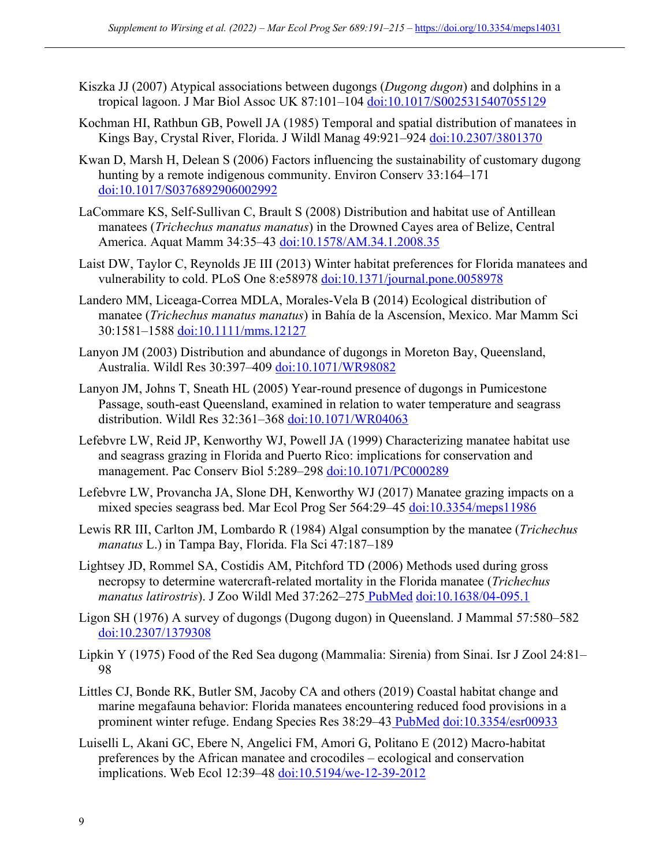- Kiszka JJ (2007) Atypical associations between dugongs (*Dugong dugon*) and dolphins in a tropical lagoon. J Mar Biol Assoc UK 87:101–104 doi:10.1017/S0025315407055129
- Kochman HI, Rathbun GB, Powell JA (1985) Temporal and spatial distribution of manatees in Kings Bay, Crystal River, Florida. J Wildl Manag 49:921–924 doi:10.2307/3801370
- Kwan D, Marsh H, Delean S (2006) Factors influencing the sustainability of customary dugong hunting by a remote indigenous community. Environ Conserv 33:164–171 doi:10.1017/S0376892906002992
- LaCommare KS, Self-Sullivan C, Brault S (2008) Distribution and habitat use of Antillean manatees (*Trichechus manatus manatus*) in the Drowned Cayes area of Belize, Central America. Aquat Mamm 34:35–43 doi:10.1578/AM.34.1.2008.35
- Laist DW, Taylor C, Reynolds JE III (2013) Winter habitat preferences for Florida manatees and vulnerability to cold. PLoS One 8:e58978 doi:10.1371/journal.pone.0058978
- Landero MM, Liceaga-Correa MDLA, Morales-Vela B (2014) Ecological distribution of manatee (*Trichechus manatus manatus*) in Bahía de la Ascensíon, Mexico. Mar Mamm Sci 30:1581–1588 doi:10.1111/mms.12127
- Lanyon JM (2003) Distribution and abundance of dugongs in Moreton Bay, Queensland, Australia. Wildl Res 30:397–409 doi:10.1071/WR98082
- Lanyon JM, Johns T, Sneath HL (2005) Year-round presence of dugongs in Pumicestone Passage, south-east Queensland, examined in relation to water temperature and seagrass distribution. Wildl Res 32:361–368 doi:10.1071/WR04063
- Lefebvre LW, Reid JP, Kenworthy WJ, Powell JA (1999) Characterizing manatee habitat use and seagrass grazing in Florida and Puerto Rico: implications for conservation and management. Pac Conserv Biol 5:289–298 doi:10.1071/PC000289
- Lefebvre LW, Provancha JA, Slone DH, Kenworthy WJ (2017) Manatee grazing impacts on a mixed species seagrass bed. Mar Ecol Prog Ser 564:29–45 doi:10.3354/meps11986
- Lewis RR III, Carlton JM, Lombardo R (1984) Algal consumption by the manatee (*Trichechus manatus* L.) in Tampa Bay, Florida. Fla Sci 47:187–189
- Lightsey JD, Rommel SA, Costidis AM, Pitchford TD (2006) Methods used during gross necropsy to determine watercraft-related mortality in the Florida manatee (*Trichechus manatus latirostris*). J Zoo Wildl Med 37:262–275 PubMed doi:10.1638/04-095.1
- Ligon SH (1976) A survey of dugongs (Dugong dugon) in Queensland. J Mammal 57:580–582 doi:10.2307/1379308
- Lipkin Y (1975) Food of the Red Sea dugong (Mammalia: Sirenia) from Sinai. Isr J Zool 24:81– 98
- Littles CJ, Bonde RK, Butler SM, Jacoby CA and others (2019) Coastal habitat change and marine megafauna behavior: Florida manatees encountering reduced food provisions in a prominent winter refuge. Endang Species Res 38:29-43 PubMed doi:10.3354/esr00933
- Luiselli L, Akani GC, Ebere N, Angelici FM, Amori G, Politano E (2012) Macro-habitat preferences by the African manatee and crocodiles – ecological and conservation implications. Web Ecol 12:39-48 doi:10.5194/we-12-39-2012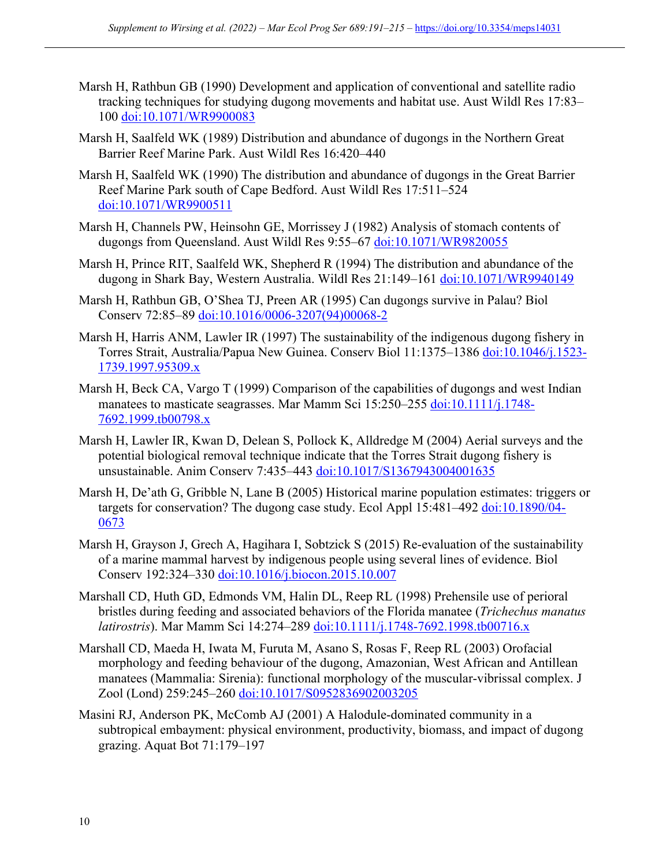- Marsh H, Rathbun GB (1990) Development and application of conventional and satellite radio tracking techniques for studying dugong movements and habitat use. Aust Wildl Res 17:83– 100 doi:10.1071/WR9900083
- Marsh H, Saalfeld WK (1989) Distribution and abundance of dugongs in the Northern Great Barrier Reef Marine Park. Aust Wildl Res 16:420–440
- Marsh H, Saalfeld WK (1990) The distribution and abundance of dugongs in the Great Barrier Reef Marine Park south of Cape Bedford. Aust Wildl Res 17:511–524 doi:10.1071/WR9900511
- Marsh H, Channels PW, Heinsohn GE, Morrissey J (1982) Analysis of stomach contents of dugongs from Queensland. Aust Wildl Res 9:55–67 doi:10.1071/WR9820055
- Marsh H, Prince RIT, Saalfeld WK, Shepherd R (1994) The distribution and abundance of the dugong in Shark Bay, Western Australia. Wildl Res 21:149–161 doi:10.1071/WR9940149
- Marsh H, Rathbun GB, O'Shea TJ, Preen AR (1995) Can dugongs survive in Palau? Biol Conserv 72:85–89 doi:10.1016/0006-3207(94)00068-2
- Marsh H, Harris ANM, Lawler IR (1997) The sustainability of the indigenous dugong fishery in Torres Strait, Australia/Papua New Guinea. Conserv Biol 11:1375–1386 doi:10.1046/j.1523- 1739.1997.95309.x
- Marsh H, Beck CA, Vargo T (1999) Comparison of the capabilities of dugongs and west Indian manatees to masticate seagrasses. Mar Mamm Sci 15:250–255 doi:10.1111/i.1748-7692.1999.tb00798.x
- Marsh H, Lawler IR, Kwan D, Delean S, Pollock K, Alldredge M (2004) Aerial surveys and the potential biological removal technique indicate that the Torres Strait dugong fishery is unsustainable. Anim Conserv 7:435–443 doi:10.1017/S1367943004001635
- Marsh H, De'ath G, Gribble N, Lane B (2005) Historical marine population estimates: triggers or targets for conservation? The dugong case study. Ecol Appl 15:481–492 doi:10.1890/04-0673
- Marsh H, Grayson J, Grech A, Hagihara I, Sobtzick S (2015) Re-evaluation of the sustainability of a marine mammal harvest by indigenous people using several lines of evidence. Biol Conserv 192:324–330 doi:10.1016/j.biocon.2015.10.007
- Marshall CD, Huth GD, Edmonds VM, Halin DL, Reep RL (1998) Prehensile use of perioral bristles during feeding and associated behaviors of the Florida manatee (*Trichechus manatus latirostris*). Mar Mamm Sci 14:274–289 doi:10.1111/j.1748-7692.1998.tb00716.x
- Marshall CD, Maeda H, Iwata M, Furuta M, Asano S, Rosas F, Reep RL (2003) Orofacial morphology and feeding behaviour of the dugong, Amazonian, West African and Antillean manatees (Mammalia: Sirenia): functional morphology of the muscular-vibrissal complex. J Zool (Lond) 259:245–260 doi:10.1017/S0952836902003205
- Masini RJ, Anderson PK, McComb AJ (2001) A Halodule-dominated community in a subtropical embayment: physical environment, productivity, biomass, and impact of dugong grazing. Aquat Bot 71:179–197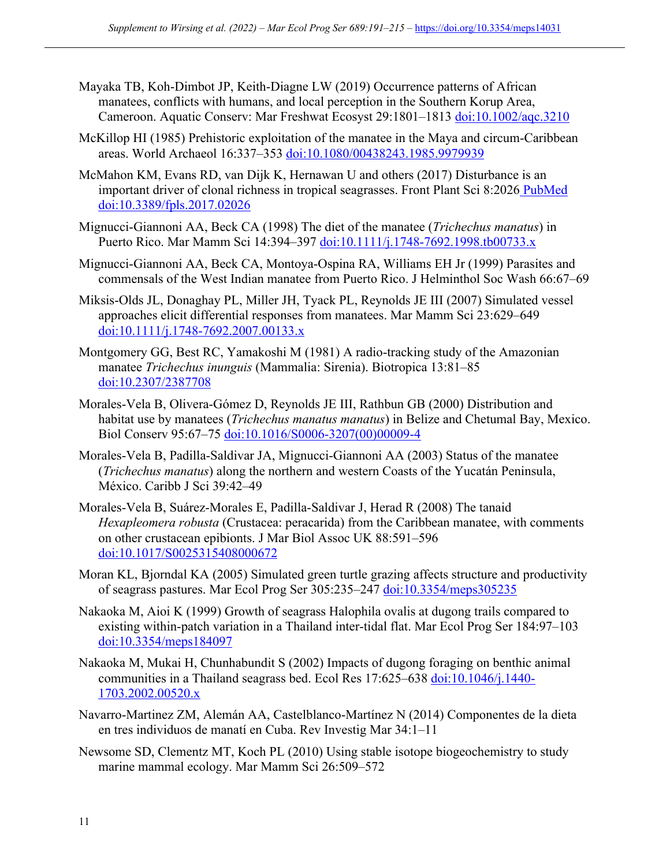- Mayaka TB, Koh‐Dimbot JP, Keith‐Diagne LW (2019) Occurrence patterns of African manatees, conflicts with humans, and local perception in the Southern Korup Area, Cameroon. Aquatic Conserv: Mar Freshwat Ecosyst 29:1801–1813 doi:10.1002/aqc.3210
- McKillop HI (1985) Prehistoric exploitation of the manatee in the Maya and circum-Caribbean areas. World Archaeol 16:337–353 doi:10.1080/00438243.1985.9979939
- McMahon KM, Evans RD, van Dijk K, Hernawan U and others (2017) Disturbance is an important driver of clonal richness in tropical seagrasses. Front Plant Sci 8:2026 PubMed doi:10.3389/fpls.2017.02026
- Mignucci-Giannoni AA, Beck CA (1998) The diet of the manatee (*Trichechus manatus*) in Puerto Rico. Mar Mamm Sci 14:394–397 doi:10.1111/j.1748-7692.1998.tb00733.x
- Mignucci-Giannoni AA, Beck CA, Montoya-Ospina RA, Williams EH Jr (1999) Parasites and commensals of the West Indian manatee from Puerto Rico. J Helminthol Soc Wash 66:67–69
- Miksis-Olds JL, Donaghay PL, Miller JH, Tyack PL, Reynolds JE III (2007) Simulated vessel approaches elicit differential responses from manatees. Mar Mamm Sci 23:629–649 doi:10.1111/j.1748-7692.2007.00133.x
- Montgomery GG, Best RC, Yamakoshi M (1981) A radio-tracking study of the Amazonian manatee *Trichechus inunguis* (Mammalia: Sirenia). Biotropica 13:81–85 doi:10.2307/2387708
- Morales-Vela B, Olivera-Gómez D, Reynolds JE III, Rathbun GB (2000) Distribution and habitat use by manatees (*Trichechus manatus manatus*) in Belize and Chetumal Bay, Mexico. Biol Conserv 95:67–75 doi:10.1016/S0006-3207(00)00009-4
- Morales-Vela B, Padilla-Saldivar JA, Mignucci-Giannoni AA (2003) Status of the manatee (*Trichechus manatus*) along the northern and western Coasts of the Yucatán Peninsula, México. Caribb J Sci 39:42–49
- Morales-Vela B, Suárez-Morales E, Padilla-Saldivar J, Herad R (2008) The tanaid *Hexapleomera robusta* (Crustacea: peracarida) from the Caribbean manatee, with comments on other crustacean epibionts. J Mar Biol Assoc UK 88:591–596 doi:10.1017/S0025315408000672
- Moran KL, Bjorndal KA (2005) Simulated green turtle grazing affects structure and productivity of seagrass pastures. Mar Ecol Prog Ser 305:235–247 doi:10.3354/meps305235
- Nakaoka M, Aioi K (1999) Growth of seagrass Halophila ovalis at dugong trails compared to existing within-patch variation in a Thailand inter-tidal flat. Mar Ecol Prog Ser 184:97–103 doi:10.3354/meps184097
- Nakaoka M, Mukai H, Chunhabundit S (2002) Impacts of dugong foraging on benthic animal communities in a Thailand seagrass bed. Ecol Res 17:625–638 doi:10.1046/j.1440- 1703.2002.00520.x
- Navarro-Martinez ZM, Alemán AA, Castelblanco-Martínez N (2014) Componentes de la dieta en tres individuos de manatí en Cuba. Rev Investig Mar 34:1–11
- Newsome SD, Clementz MT, Koch PL (2010) Using stable isotope biogeochemistry to study marine mammal ecology. Mar Mamm Sci 26:509–572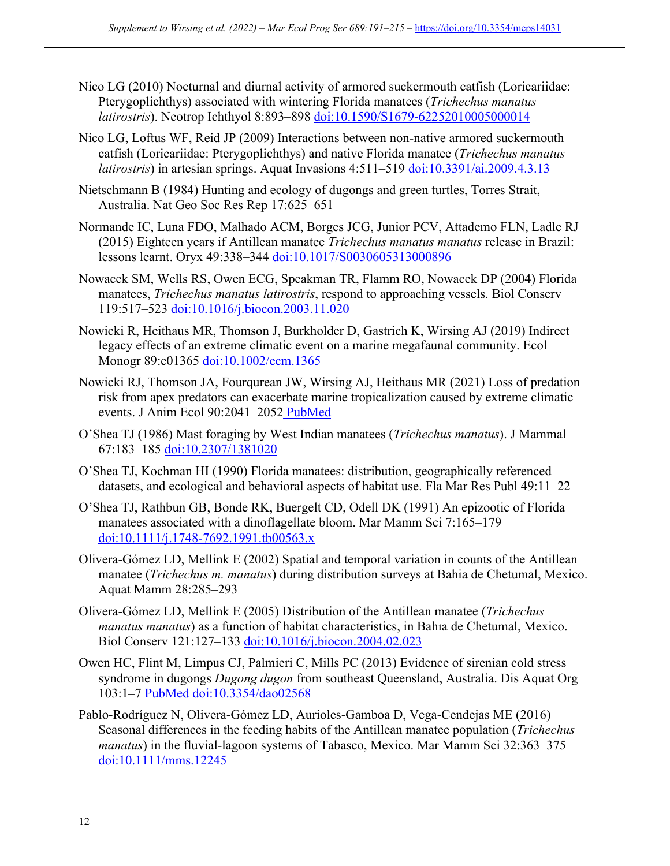- Nico LG (2010) Nocturnal and diurnal activity of armored suckermouth catfish (Loricariidae: Pterygoplichthys) associated with wintering Florida manatees (*Trichechus manatus latirostris*). Neotrop Ichthyol 8:893–898 doi:10.1590/S1679-62252010005000014
- Nico LG, Loftus WF, Reid JP (2009) Interactions between non-native armored suckermouth catfish (Loricariidae: Pterygoplichthys) and native Florida manatee (*Trichechus manatus latirostris*) in artesian springs. Aquat Invasions 4:511–519 doi:10.3391/ai.2009.4.3.13
- Nietschmann B (1984) Hunting and ecology of dugongs and green turtles, Torres Strait, Australia. Nat Geo Soc Res Rep 17:625–651
- Normande IC, Luna FDO, Malhado ACM, Borges JCG, Junior PCV, Attademo FLN, Ladle RJ (2015) Eighteen years if Antillean manatee *Trichechus manatus manatus* release in Brazil: lessons learnt. Oryx 49:338-344 doi:10.1017/S0030605313000896
- Nowacek SM, Wells RS, Owen ECG, Speakman TR, Flamm RO, Nowacek DP (2004) Florida manatees, *Trichechus manatus latirostris*, respond to approaching vessels. Biol Conserv 119:517–523 doi:10.1016/j.biocon.2003.11.020
- Nowicki R, Heithaus MR, Thomson J, Burkholder D, Gastrich K, Wirsing AJ (2019) Indirect legacy effects of an extreme climatic event on a marine megafaunal community. Ecol Monogr 89:e01365 doi:10.1002/ecm.1365
- Nowicki RJ, Thomson JA, Fourqurean JW, Wirsing AJ, Heithaus MR (2021) Loss of predation risk from apex predators can exacerbate marine tropicalization caused by extreme climatic events. J Anim Ecol 90:2041–2052 PubMed
- O'Shea TJ (1986) Mast foraging by West Indian manatees (*Trichechus manatus*). J Mammal 67:183–185 doi:10.2307/1381020
- O'Shea TJ, Kochman HI (1990) Florida manatees: distribution, geographically referenced datasets, and ecological and behavioral aspects of habitat use. Fla Mar Res Publ 49:11–22
- O'Shea TJ, Rathbun GB, Bonde RK, Buergelt CD, Odell DK (1991) An epizootic of Florida manatees associated with a dinoflagellate bloom. Mar Mamm Sci 7:165–179 doi:10.1111/j.1748-7692.1991.tb00563.x
- Olivera-Gómez LD, Mellink E (2002) Spatial and temporal variation in counts of the Antillean manatee (*Trichechus m. manatus*) during distribution surveys at Bahia de Chetumal, Mexico. Aquat Mamm 28:285–293
- Olivera-Gómez LD, Mellink E (2005) Distribution of the Antillean manatee (*Trichechus manatus manatus*) as a function of habitat characteristics, in Bahıa de Chetumal, Mexico. Biol Conserv 121:127–133 doi:10.1016/j.biocon.2004.02.023
- Owen HC, Flint M, Limpus CJ, Palmieri C, Mills PC (2013) Evidence of sirenian cold stress syndrome in dugongs *Dugong dugon* from southeast Queensland, Australia. Dis Aquat Org 103:1–7 PubMed doi:10.3354/dao02568
- Pablo-Rodríguez N, Olivera-Gómez LD, Aurioles-Gamboa D, Vega-Cendejas ME (2016) Seasonal differences in the feeding habits of the Antillean manatee population (*Trichechus manatus*) in the fluvial-lagoon systems of Tabasco, Mexico. Mar Mamm Sci 32:363–375 doi:10.1111/mms.12245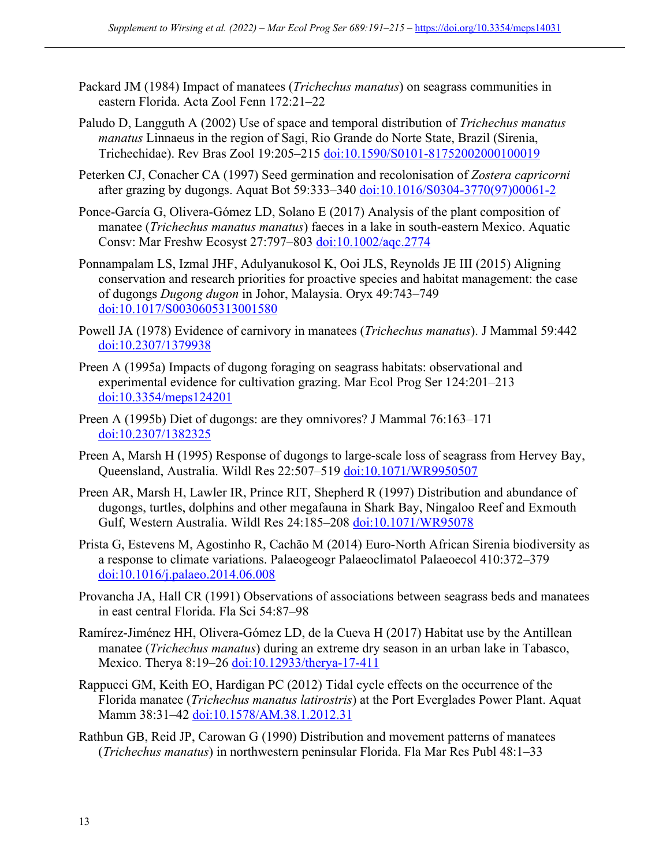- Packard JM (1984) Impact of manatees (*Trichechus manatus*) on seagrass communities in eastern Florida. Acta Zool Fenn 172:21–22
- Paludo D, Langguth A (2002) Use of space and temporal distribution of *Trichechus manatus manatus* Linnaeus in the region of Sagi, Rio Grande do Norte State, Brazil (Sirenia, Trichechidae). Rev Bras Zool 19:205–215 doi:10.1590/S0101-81752002000100019
- Peterken CJ, Conacher CA (1997) Seed germination and recolonisation of *Zostera capricorni* after grazing by dugongs. Aquat Bot 59:333–340 doi:10.1016/S0304-3770(97)00061-2
- Ponce-García G, Olivera-Gómez LD, Solano E (2017) Analysis of the plant composition of manatee (*Trichechus manatus manatus*) faeces in a lake in south-eastern Mexico. Aquatic Consv: Mar Freshw Ecosyst 27:797–803 doi:10.1002/aqc.2774
- Ponnampalam LS, Izmal JHF, Adulyanukosol K, Ooi JLS, Reynolds JE III (2015) Aligning conservation and research priorities for proactive species and habitat management: the case of dugongs *Dugong dugon* in Johor, Malaysia. Oryx 49:743–749 doi:10.1017/S0030605313001580
- Powell JA (1978) Evidence of carnivory in manatees (*Trichechus manatus*). J Mammal 59:442 doi:10.2307/1379938
- Preen A (1995a) Impacts of dugong foraging on seagrass habitats: observational and experimental evidence for cultivation grazing. Mar Ecol Prog Ser 124:201–213 doi:10.3354/meps124201
- Preen A (1995b) Diet of dugongs: are they omnivores? J Mammal 76:163–171 doi:10.2307/1382325
- Preen A, Marsh H (1995) Response of dugongs to large-scale loss of seagrass from Hervey Bay, Queensland, Australia. Wildl Res 22:507–519 doi:10.1071/WR9950507
- Preen AR, Marsh H, Lawler IR, Prince RIT, Shepherd R (1997) Distribution and abundance of dugongs, turtles, dolphins and other megafauna in Shark Bay, Ningaloo Reef and Exmouth Gulf, Western Australia. Wildl Res 24:185–208 doi:10.1071/WR95078
- Prista G, Estevens M, Agostinho R, Cachão M (2014) Euro-North African Sirenia biodiversity as a response to climate variations. Palaeogeogr Palaeoclimatol Palaeoecol 410:372–379 doi:10.1016/j.palaeo.2014.06.008
- Provancha JA, Hall CR (1991) Observations of associations between seagrass beds and manatees in east central Florida. Fla Sci 54:87–98
- Ramírez-Jiménez HH, Olivera-Gómez LD, de la Cueva H (2017) Habitat use by the Antillean manatee (*Trichechus manatus*) during an extreme dry season in an urban lake in Tabasco, Mexico. Therya 8:19-26 doi:10.12933/therya-17-411
- Rappucci GM, Keith EO, Hardigan PC (2012) Tidal cycle effects on the occurrence of the Florida manatee (*Trichechus manatus latirostris*) at the Port Everglades Power Plant. Aquat Mamm 38:31-42 doi:10.1578/AM.38.1.2012.31
- Rathbun GB, Reid JP, Carowan G (1990) Distribution and movement patterns of manatees (*Trichechus manatus*) in northwestern peninsular Florida. Fla Mar Res Publ 48:1–33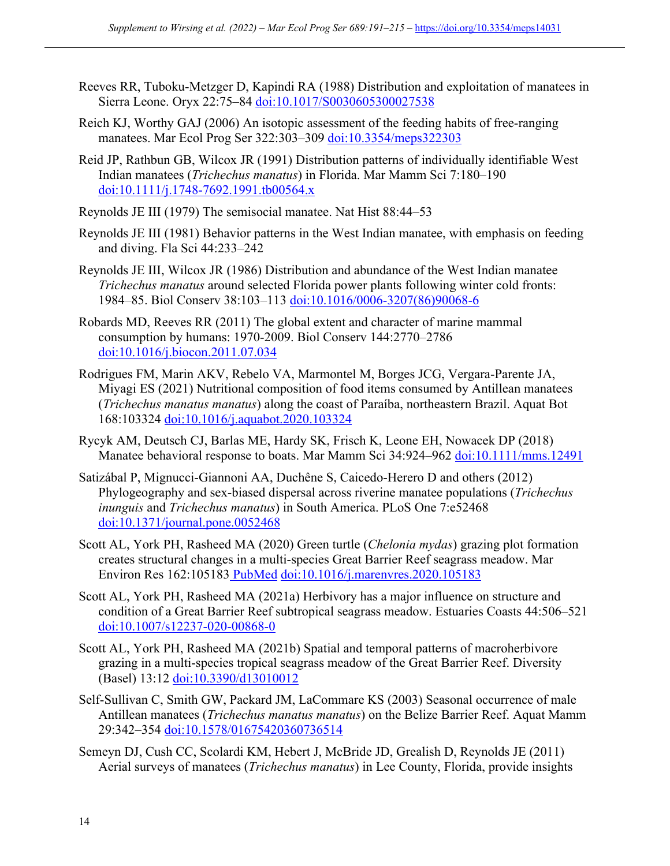- Reeves RR, Tuboku-Metzger D, Kapindi RA (1988) Distribution and exploitation of manatees in Sierra Leone. Oryx 22:75–84 doi:10.1017/S0030605300027538
- Reich KJ, Worthy GAJ (2006) An isotopic assessment of the feeding habits of free-ranging manatees. Mar Ecol Prog Ser 322:303–309 doi:10.3354/meps322303
- Reid JP, Rathbun GB, Wilcox JR (1991) Distribution patterns of individually identifiable West Indian manatees (*Trichechus manatus*) in Florida. Mar Mamm Sci 7:180–190 doi:10.1111/j.1748-7692.1991.tb00564.x
- Reynolds JE III (1979) The semisocial manatee. Nat Hist 88:44–53
- Reynolds JE III (1981) Behavior patterns in the West Indian manatee, with emphasis on feeding and diving. Fla Sci 44:233–242
- Reynolds JE III, Wilcox JR (1986) Distribution and abundance of the West Indian manatee *Trichechus manatus* around selected Florida power plants following winter cold fronts: 1984–85. Biol Conserv 38:103–113 doi:10.1016/0006-3207(86)90068-6
- Robards MD, Reeves RR (2011) The global extent and character of marine mammal consumption by humans: 1970-2009. Biol Conserv 144:2770–2786 doi:10.1016/j.biocon.2011.07.034
- Rodrigues FM, Marin AKV, Rebelo VA, Marmontel M, Borges JCG, Vergara-Parente JA, Miyagi ES (2021) Nutritional composition of food items consumed by Antillean manatees (*Trichechus manatus manatus*) along the coast of Paraíba, northeastern Brazil. Aquat Bot 168:103324 doi:10.1016/j.aquabot.2020.103324
- Rycyk AM, Deutsch CJ, Barlas ME, Hardy SK, Frisch K, Leone EH, Nowacek DP (2018) Manatee behavioral response to boats. Mar Mamm Sci 34:924–962 doi:10.1111/mms.12491
- Satizábal P, Mignucci-Giannoni AA, Duchêne S, Caicedo-Herero D and others (2012) Phylogeography and sex-biased dispersal across riverine manatee populations (*Trichechus inunguis* and *Trichechus manatus*) in South America. PLoS One 7:e52468 doi:10.1371/journal.pone.0052468
- Scott AL, York PH, Rasheed MA (2020) Green turtle (*Chelonia mydas*) grazing plot formation creates structural changes in a multi-species Great Barrier Reef seagrass meadow. Mar Environ Res 162:105183 PubMed doi:10.1016/j.marenvres.2020.105183
- Scott AL, York PH, Rasheed MA (2021a) Herbivory has a major influence on structure and condition of a Great Barrier Reef subtropical seagrass meadow. Estuaries Coasts 44:506–521 doi:10.1007/s12237-020-00868-0
- Scott AL, York PH, Rasheed MA (2021b) Spatial and temporal patterns of macroherbivore grazing in a multi-species tropical seagrass meadow of the Great Barrier Reef. Diversity (Basel) 13:12 doi:10.3390/d13010012
- Self-Sullivan C, Smith GW, Packard JM, LaCommare KS (2003) Seasonal occurrence of male Antillean manatees (*Trichechus manatus manatus*) on the Belize Barrier Reef. Aquat Mamm 29:342–354 doi:10.1578/01675420360736514
- Semeyn DJ, Cush CC, Scolardi KM, Hebert J, McBride JD, Grealish D, Reynolds JE (2011) Aerial surveys of manatees (*Trichechus manatus*) in Lee County, Florida, provide insights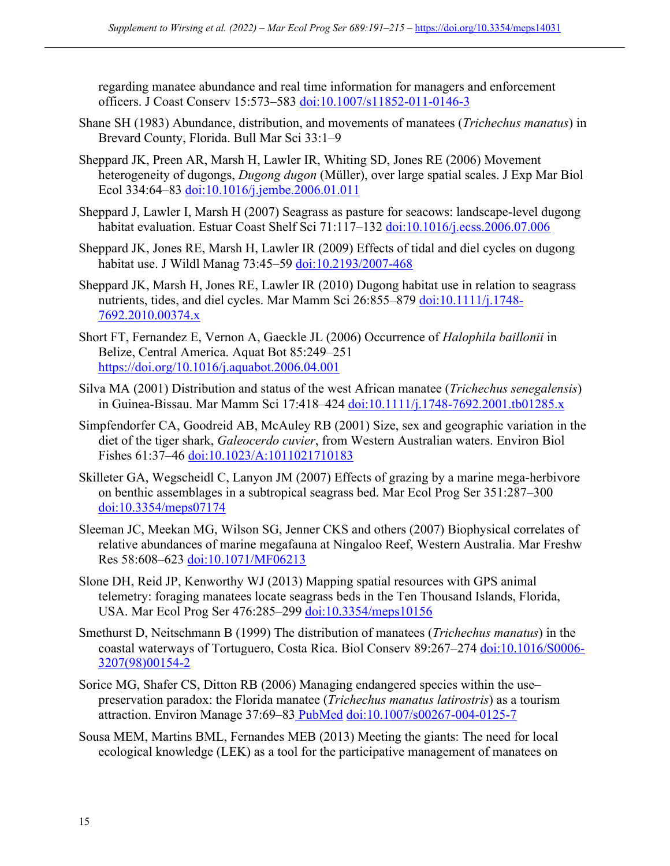regarding manatee abundance and real time information for managers and enforcement officers. J Coast Conserv 15:573-583 doi:10.1007/s11852-011-0146-3

- Shane SH (1983) Abundance, distribution, and movements of manatees (*Trichechus manatus*) in Brevard County, Florida. Bull Mar Sci 33:1–9
- Sheppard JK, Preen AR, Marsh H, Lawler IR, Whiting SD, Jones RE (2006) Movement heterogeneity of dugongs, *Dugong dugon* (Müller), over large spatial scales. J Exp Mar Biol Ecol 334:64–83 doi:10.1016/j.jembe.2006.01.011
- Sheppard J, Lawler I, Marsh H (2007) Seagrass as pasture for seacows: landscape-level dugong habitat evaluation. Estuar Coast Shelf Sci 71:117–132 doi:10.1016/j.ecss.2006.07.006
- Sheppard JK, Jones RE, Marsh H, Lawler IR (2009) Effects of tidal and diel cycles on dugong habitat use. J Wildl Manag 73:45-59 doi:10.2193/2007-468
- Sheppard JK, Marsh H, Jones RE, Lawler IR (2010) Dugong habitat use in relation to seagrass nutrients, tides, and diel cycles. Mar Mamm Sci 26:855-879 doi:10.1111/j.1748-7692.2010.00374.x
- Short FT, Fernandez E, Vernon A, Gaeckle JL (2006) Occurrence of *Halophila baillonii* in Belize, Central America. Aquat Bot 85:249–251 https://doi.org/10.1016/j.aquabot.2006.04.001
- Silva MA (2001) Distribution and status of the west African manatee (*Trichechus senegalensis*) in Guinea-Bissau. Mar Mamm Sci 17:418–424 doi:10.1111/j.1748-7692.2001.tb01285.x
- Simpfendorfer CA, Goodreid AB, McAuley RB (2001) Size, sex and geographic variation in the diet of the tiger shark, *Galeocerdo cuvier*, from Western Australian waters. Environ Biol Fishes 61:37-46 doi:10.1023/A:1011021710183
- Skilleter GA, Wegscheidl C, Lanyon JM (2007) Effects of grazing by a marine mega-herbivore on benthic assemblages in a subtropical seagrass bed. Mar Ecol Prog Ser 351:287–300 doi:10.3354/meps07174
- Sleeman JC, Meekan MG, Wilson SG, Jenner CKS and others (2007) Biophysical correlates of relative abundances of marine megafauna at Ningaloo Reef, Western Australia. Mar Freshw Res 58:608–623 doi:10.1071/MF06213
- Slone DH, Reid JP, Kenworthy WJ (2013) Mapping spatial resources with GPS animal telemetry: foraging manatees locate seagrass beds in the Ten Thousand Islands, Florida, USA. Mar Ecol Prog Ser 476:285–299 doi:10.3354/meps10156
- Smethurst D, Neitschmann B (1999) The distribution of manatees (*Trichechus manatus*) in the coastal waterways of Tortuguero, Costa Rica. Biol Conserv 89:267-274 doi:10.1016/S0006-3207(98)00154-2
- Sorice MG, Shafer CS, Ditton RB (2006) Managing endangered species within the use– preservation paradox: the Florida manatee (*Trichechus manatus latirostris*) as a tourism attraction. Environ Manage 37:69-83 PubMed doi:10.1007/s00267-004-0125-7
- Sousa MEM, Martins BML, Fernandes MEB (2013) Meeting the giants: The need for local ecological knowledge (LEK) as a tool for the participative management of manatees on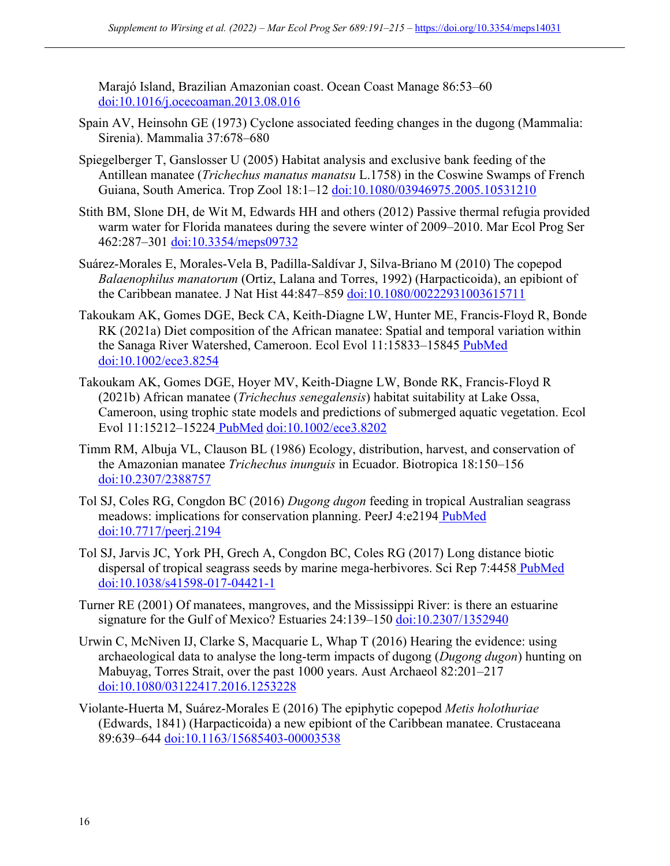Marajó Island, Brazilian Amazonian coast. Ocean Coast Manage 86:53–60 doi:10.1016/j.ocecoaman.2013.08.016

- Spain AV, Heinsohn GE (1973) Cyclone associated feeding changes in the dugong (Mammalia: Sirenia). Mammalia 37:678–680
- Spiegelberger T, Ganslosser U (2005) Habitat analysis and exclusive bank feeding of the Antillean manatee (*Trichechus manatus manatsu* L.1758) in the Coswine Swamps of French Guiana, South America. Trop Zool 18:1–12 doi:10.1080/03946975.2005.10531210
- Stith BM, Slone DH, de Wit M, Edwards HH and others (2012) Passive thermal refugia provided warm water for Florida manatees during the severe winter of 2009–2010. Mar Ecol Prog Ser 462:287–301 doi:10.3354/meps09732
- Suárez-Morales E, Morales-Vela B, Padilla-Saldívar J, Silva-Briano M (2010) The copepod *Balaenophilus manatorum* (Ortiz, Lalana and Torres, 1992) (Harpacticoida), an epibiont of the Caribbean manatee. J Nat Hist 44:847–859 doi:10.1080/00222931003615711
- Takoukam AK, Gomes DGE, Beck CA, Keith-Diagne LW, Hunter ME, Francis-Floyd R, Bonde RK (2021a) Diet composition of the African manatee: Spatial and temporal variation within the Sanaga River Watershed, Cameroon. Ecol Evol 11:15833–15845 PubMed doi:10.1002/ece3.8254
- Takoukam AK, Gomes DGE, Hoyer MV, Keith-Diagne LW, Bonde RK, Francis-Floyd R (2021b) African manatee (*Trichechus senegalensis*) habitat suitability at Lake Ossa, Cameroon, using trophic state models and predictions of submerged aquatic vegetation. Ecol Evol 11:15212–15224 PubMed doi:10.1002/ece3.8202
- Timm RM, Albuja VL, Clauson BL (1986) Ecology, distribution, harvest, and conservation of the Amazonian manatee *Trichechus inunguis* in Ecuador. Biotropica 18:150–156 doi:10.2307/2388757
- Tol SJ, Coles RG, Congdon BC (2016) *Dugong dugon* feeding in tropical Australian seagrass meadows: implications for conservation planning. PeerJ 4:e2194 PubMed doi:10.7717/peerj.2194
- Tol SJ, Jarvis JC, York PH, Grech A, Congdon BC, Coles RG (2017) Long distance biotic dispersal of tropical seagrass seeds by marine mega-herbivores. Sci Rep 7:4458 PubMed doi:10.1038/s41598-017-04421-1
- Turner RE (2001) Of manatees, mangroves, and the Mississippi River: is there an estuarine signature for the Gulf of Mexico? Estuaries 24:139–150 doi:10.2307/1352940
- Urwin C, McNiven IJ, Clarke S, Macquarie L, Whap T (2016) Hearing the evidence: using archaeological data to analyse the long-term impacts of dugong (*Dugong dugon*) hunting on Mabuyag, Torres Strait, over the past 1000 years. Aust Archaeol 82:201–217 doi:10.1080/03122417.2016.1253228
- Violante-Huerta M, Suárez-Morales E (2016) The epiphytic copepod *Metis holothuriae* (Edwards, 1841) (Harpacticoida) a new epibiont of the Caribbean manatee. Crustaceana 89:639–644 doi:10.1163/15685403-00003538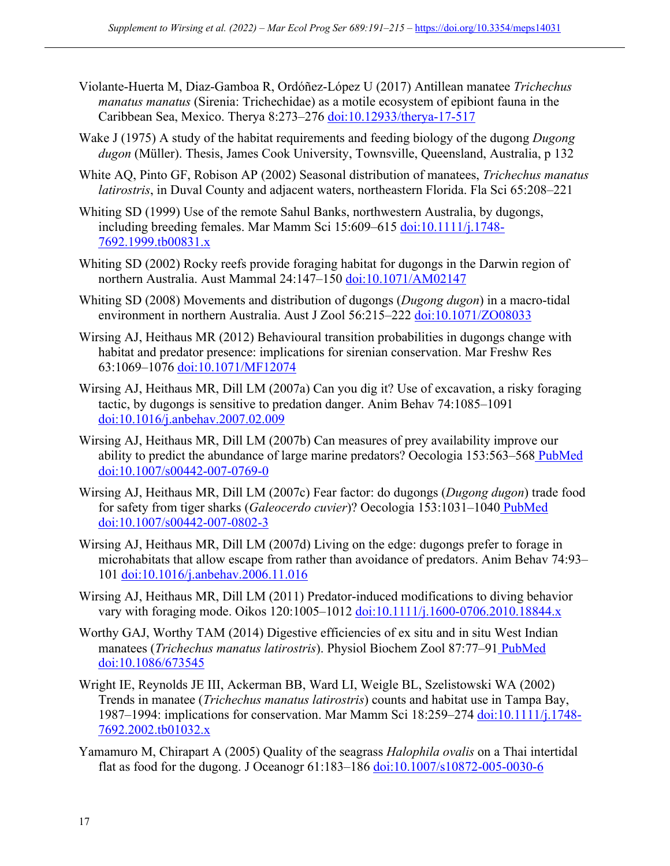- Violante-Huerta M, Diaz-Gamboa R, Ordóñez-López U (2017) Antillean manatee *Trichechus manatus manatus* (Sirenia: Trichechidae) as a motile ecosystem of epibiont fauna in the Caribbean Sea, Mexico. Therya 8:273–276 doi:10.12933/therya-17-517
- Wake J (1975) A study of the habitat requirements and feeding biology of the dugong *Dugong dugon* (Müller). Thesis, James Cook University, Townsville, Queensland, Australia, p 132
- White AQ, Pinto GF, Robison AP (2002) Seasonal distribution of manatees, *Trichechus manatus latirostris*, in Duval County and adjacent waters, northeastern Florida. Fla Sci 65:208–221
- Whiting SD (1999) Use of the remote Sahul Banks, northwestern Australia, by dugongs, including breeding females. Mar Mamm Sci 15:609–615 doi:10.1111/j.1748- 7692.1999.tb00831.x
- Whiting SD (2002) Rocky reefs provide foraging habitat for dugongs in the Darwin region of northern Australia. Aust Mammal 24:147–150 doi:10.1071/AM02147
- Whiting SD (2008) Movements and distribution of dugongs (*Dugong dugon*) in a macro-tidal environment in northern Australia. Aust J Zool 56:215–222 doi:10.1071/ZO08033
- Wirsing AJ, Heithaus MR (2012) Behavioural transition probabilities in dugongs change with habitat and predator presence: implications for sirenian conservation. Mar Freshw Res 63:1069–1076 doi:10.1071/MF12074
- Wirsing AJ, Heithaus MR, Dill LM (2007a) Can you dig it? Use of excavation, a risky foraging tactic, by dugongs is sensitive to predation danger. Anim Behav 74:1085–1091 doi:10.1016/j.anbehav.2007.02.009
- Wirsing AJ, Heithaus MR, Dill LM (2007b) Can measures of prey availability improve our ability to predict the abundance of large marine predators? Oecologia 153:563–568 PubMed doi:10.1007/s00442-007-0769-0
- Wirsing AJ, Heithaus MR, Dill LM (2007c) Fear factor: do dugongs (*Dugong dugon*) trade food for safety from tiger sharks (*Galeocerdo cuvier*)? Oecologia 153:1031–1040 PubMed doi:10.1007/s00442-007-0802-3
- Wirsing AJ, Heithaus MR, Dill LM (2007d) Living on the edge: dugongs prefer to forage in microhabitats that allow escape from rather than avoidance of predators. Anim Behav 74:93– 101 doi:10.1016/j.anbehav.2006.11.016
- Wirsing AJ, Heithaus MR, Dill LM (2011) Predator-induced modifications to diving behavior vary with foraging mode. Oikos 120:1005-1012 doi:10.1111/j.1600-0706.2010.18844.x
- Worthy GAJ, Worthy TAM (2014) Digestive efficiencies of ex situ and in situ West Indian manatees (*Trichechus manatus latirostris*). Physiol Biochem Zool 87:77–91 PubMed doi:10.1086/673545
- Wright IE, Reynolds JE III, Ackerman BB, Ward LI, Weigle BL, Szelistowski WA (2002) Trends in manatee (*Trichechus manatus latirostris*) counts and habitat use in Tampa Bay, 1987–1994: implications for conservation. Mar Mamm Sci 18:259–274 doi:10.1111/j.1748- 7692.2002.tb01032.x
- Yamamuro M, Chirapart A (2005) Quality of the seagrass *Halophila ovalis* on a Thai intertidal flat as food for the dugong. J Oceanogr 61:183–186 doi:10.1007/s10872-005-0030-6